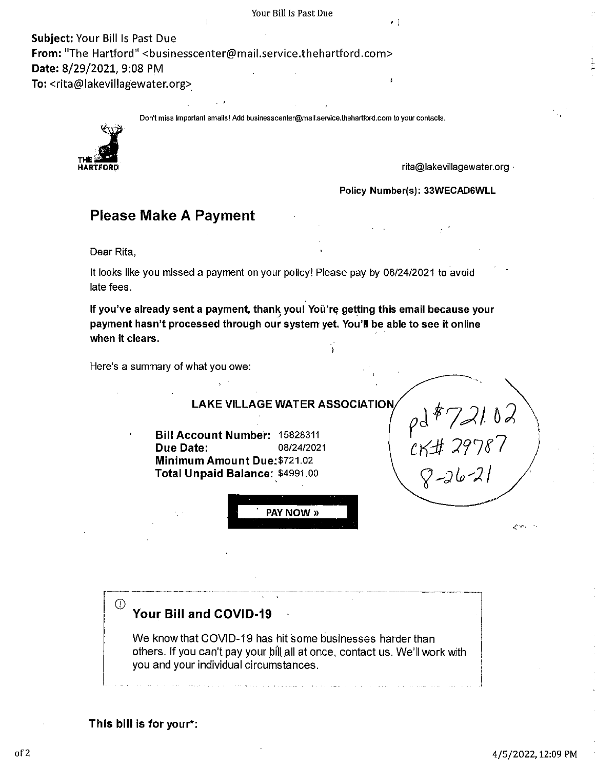**Subject:** Your Bill ls Past Due From: "The Hartford" <businesscenter@mail.service.thehartford.com> **Date:** 8/29/2021, 9:08 PM **To:** <rita@lakevillagewater.org>\_

Don't miss Important emails! Add businesscenter@mall.service.thehartford.com to your contacts.



**rita@lakevillagewater.org •** 

ŗ

**Policy Number(s): 33WECAD6WLL** 

### **Please Make A Payment**

Dear Rita,

It looks like you missed a payment on your policy! Please pay by 08/24/2021 to avoid late fees.

If you've already sent a payment, thank you! You're getting this email because your **payment hasn't processed through our system yet. You'll be able to see it on line when it clears.** 

Here's a summary of what you owe:



**This bill is for your\*:**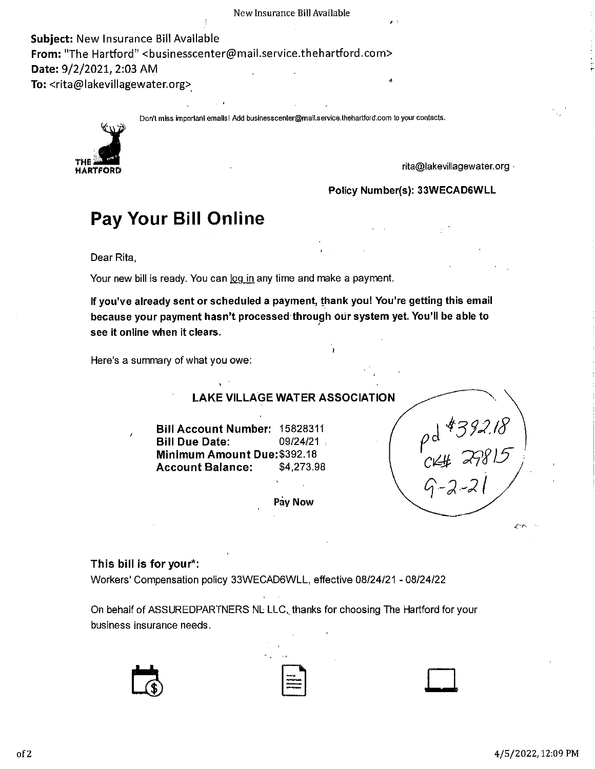' ' **Subject:** New Insurance Bill Available From: "The Hartford" <businesscenter@mail.service.thehartford.com> **Date:** 9/2/2021, 2:03 AM **To:** <rita@lakevillagewater.org>,

Don'l miss importanl emails! Add buslnesscenter@mail.service.lhehartford.com to your contacts.



rita@lakevillagewater.org •

**Policy Number(s): 33WECAD6WLL** 

## **Pay Your Bill Online**

Dear Rita,

Your new bill is ready. You can  $log$  in any time and make a payment.

**If you've already sent or scheduled a payment, thank you! You're getting this email**  because your payment hasn't processed through our system yet. You'll be able to **see it online when it clears.** 

Here's a summary of what you owe:

**LAKE VILLAGE WATER ASSOCIATION Bill Account Number:** 15828311 **Bill Due Date:** 09/24/21 **Minimum Amount** Due:\$392.18 **Account Balance:** \$4,273.98 **Pay Now**  pd \$392.18  $C144$   $27815$  $9 - 2 - 21$ 

#### **This bill is for your\*:**

Workers' Compensation policy 33WECAD6WLL, effective 08/24/21 - 08/24/22

On behalf of ASSUREDPARTNERS NL LLC, thanks for choosing The Hartford for your business insurance needs.





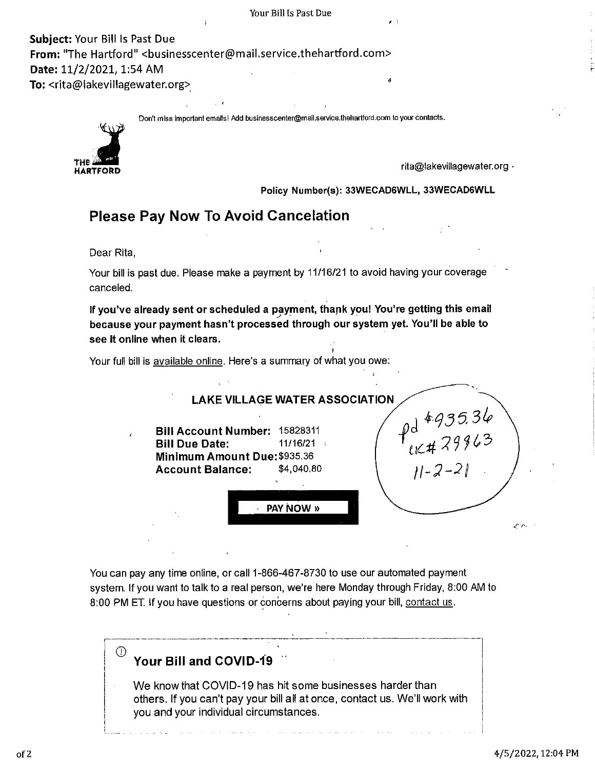**Subject:** Your Bill Is Past Due **From:** "The Hartford" <businesscenter@mail.service.thehartford.com> **Date:** 11/2/2021, 1:54 AM To: <rita@lakevillagewater.org>

Don't miss important emails I Add businesscenter@mail.service.thehartford.com to your contacts.



rita@lakevillagewater.org ·

**Policy Number(s): 33WECAD6WLL, 33WECAD6WLL** 

### **Please Pay Now To Avoid Cancelation**

Dear Rita,

Your bill is past due. Please make a payment by 11/16/21 to avoid having your coverage canceled.

If you've already sent or scheduled a payment, thank you! You're getting this email **because your payment hasn't processed through our system yet. You'll be able to see it online when it clears.** 

Your full bill is available online. Here's a summary of what you owe:



You can pay any time online, or call 1-866-467-8730 to use our automated payment system. If you want to talk to a real person, we're here Monday through Friday, 8:00 AM to 8:00 PM ET. If you have questions or concerns about paying your bill, contact us.

## $^{\circledR}$  Your Bill and COVID-19

We know that COVID-19 has hit some businesses harder than others. If you can't pay your bill all at once, contact us. We'll work with you and your individual circumstances.